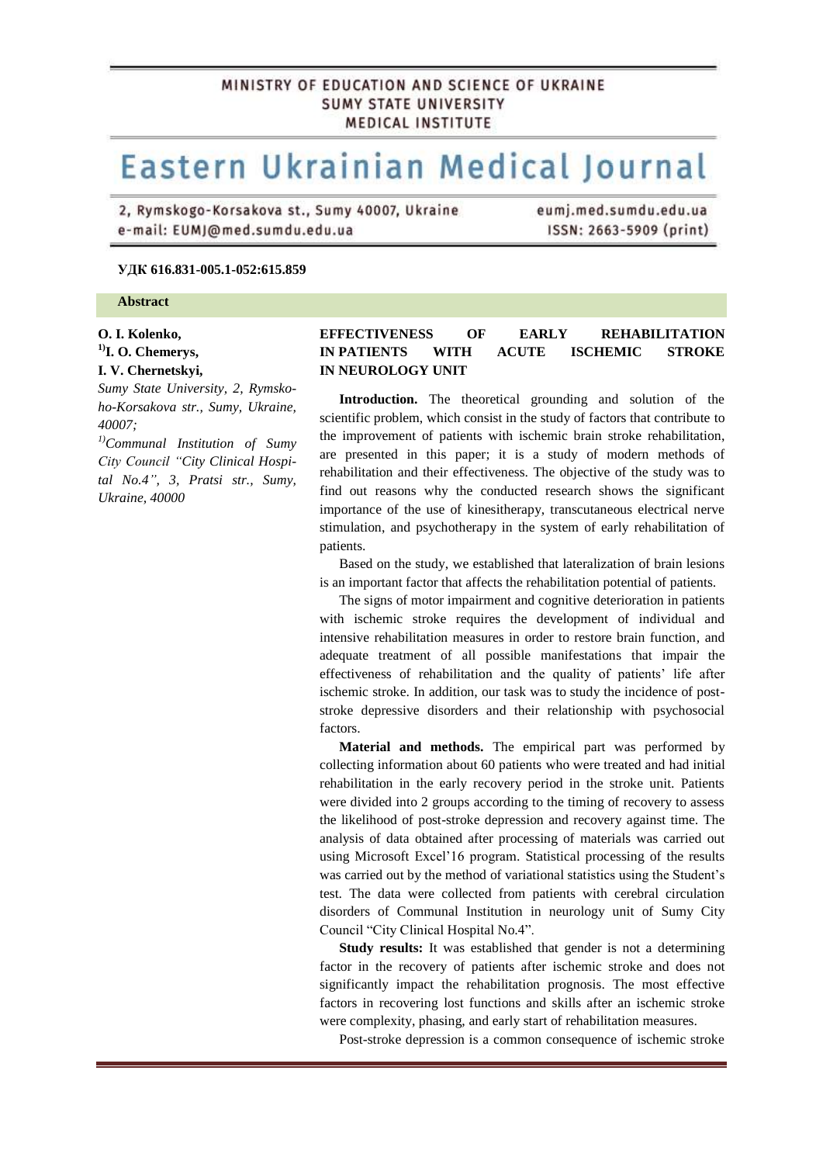# MINISTRY OF EDUCATION AND SCIENCE OF UKRAINE **SUMY STATE UNIVERSITY MEDICAL INSTITUTE**

# Eastern Ukrainian Medical Journal

2, Rymskogo-Korsakova st., Sumy 40007, Ukraine e-mail: EUMJ@med.sumdu.edu.ua

eumj.med.sumdu.edu.ua ISSN: 2663-5909 (print)

#### **УДК 616.831-005.1-052:615.859**

#### **Abstract**

# **O. I. Kolenko, 1)I. O. Chemerys,**

# **I. V. Chernetskyi,**

*Sumy State University, 2, Rymskoho-Korsakova str., Sumy, Ukraine, 40007;*

*1)Communal Institution of Sumy City Council "City Clinical Hospital No.4", 3, Pratsi str., Sumy, Ukraine, 40000*

### **EFFECTIVENESS OF EARLY REHABILITATION IN PATIENTS WITH ACUTE ISCHEMIC STROKE IN NEUROLOGY UNIT.**

**Introduction.** The theoretical grounding and solution of the scientific problem, which consist in the study of factors that contribute to the improvement of patients with ischemic brain stroke rehabilitation, are presented in this paper; it is a study of modern methods of rehabilitation and their effectiveness. The objective of the study was to find out reasons why the conducted research shows the significant importance of the use of kinesitherapy, transcutaneous electrical nerve stimulation, and psychotherapy in the system of early rehabilitation of patients.

Based on the study, we established that lateralization of brain lesions is an important factor that affects the rehabilitation potential of patients.

The signs of motor impairment and cognitive deterioration in patients with ischemic stroke requires the development of individual and intensive rehabilitation measures in order to restore brain function, and adequate treatment of all possible manifestations that impair the effectiveness of rehabilitation and the quality of patients' life after ischemic stroke. In addition, our task was to study the incidence of poststroke depressive disorders and their relationship with psychosocial factors.

**Material and methods.** The empirical part was performed by collecting information about 60 patients who were treated and had initial rehabilitation in the early recovery period in the stroke unit. Patients were divided into 2 groups according to the timing of recovery to assess the likelihood of post-stroke depression and recovery against time. The analysis of data obtained after processing of materials was carried out using Microsoft Excel'16 program. Statistical processing of the results was carried out by the method of variational statistics using the Student's test. The data were collected from patients with cerebral circulation disorders of Communal Institution in neurology unit of Sumy City Council "City Clinical Hospital No.4".

**Study results:** It was established that gender is not a determining factor in the recovery of patients after ischemic stroke and does not significantly impact the rehabilitation prognosis. The most effective factors in recovering lost functions and skills after an ischemic stroke were complexity, phasing, and early start of rehabilitation measures.

Post-stroke depression is a common consequence of ischemic stroke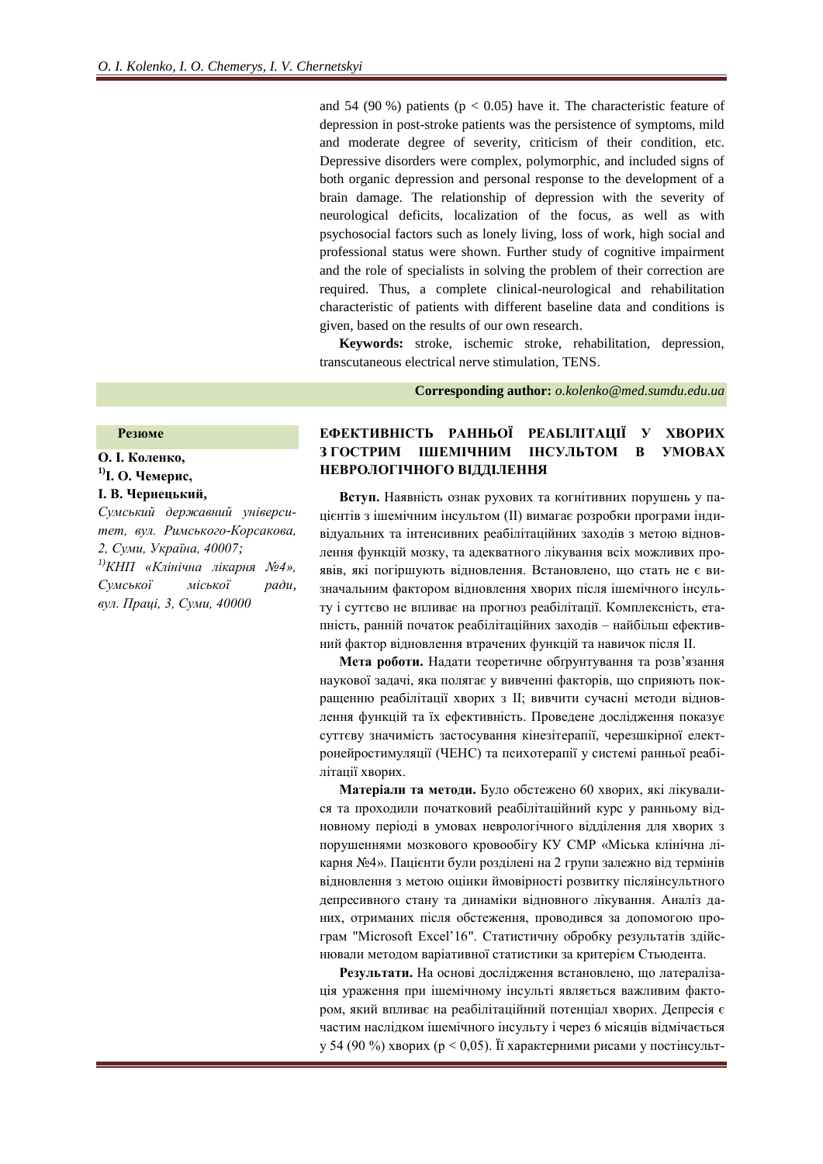and 54 (90 %) patients ( $p < 0.05$ ) have it. The characteristic feature of depression in post-stroke patients was the persistence of symptoms, mild and moderate degree of severity, criticism of their condition, etc. Depressive disorders were complex, polymorphic, and included signs of both organic depression and personal response to the development of a brain damage. The relationship of depression with the severity of neurological deficits, localization of the focus, as well as with psychosocial factors such as lonely living, loss of work, high social and professional status were shown. Further study of cognitive impairment and the role of specialists in solving the problem of their correction are required. Thus, a complete clinical-neurological and rehabilitation characteristic of patients with different baseline data and conditions is given, based on the results of our own research.

**Keywords:** stroke, ischemic stroke, rehabilitation, depression, transcutaneous electrical nerve stimulation, TENS.–

**Corresponding author:** *o.kolenko@med.sumdu.edu.ua*

#### **Резюме**

#### **О. І. Коленко, 1)І. О. Чемерис,**

**І. В. Чернецький,** 

*Сумський державний університет, вул. Римського-Корсакова, 2, Суми, Україна, 40007; 1)КНП «Клінічна лікарня №4», Сумської міської ради, вул. Праці, 3, Суми, 40000*

## **ЕФЕКТИВНІСТЬ РАННЬОЇ РЕАБІЛІТАЦІЇ У ХВОРИХ З ГОСТРИМ ІШЕМІЧНИМ ІНСУЛЬТОМ В УМОВАХ НЕВРОЛОГІЧНОГО ВІДДІЛЕННЯ.**

**Вступ.** Наявність ознак рухових та когнітивних порушень у пацієнтів з ішемічним інсультом (ІІ) вимагає розробки програми індивідуальних та інтенсивних реабілітаційних заходів з метою відновлення функцій мозку, та адекватного лікування всіх можливих проявів, які погіршують відновлення. Встановлено, що стать не є визначальним фактором відновлення хворих після ішемічного інсульту і суттєво не впливає на прогноз реабілітації. Комплексність, етапність, ранній початок реабілітаційних заходів – найбільш ефективний фактор відновлення втрачених функцій та навичок після ІІ.

**Мета роботи.** Надати теоретичне обґрунтування та розв'язання наукової задачі, яка полягає у вивченні факторів, що сприяють покращенню реабілітації хворих з ІІ; вивчити сучасні методи відновлення функцій та їх ефективність. Проведене дослідження показує суттєву значимість застосування кінезітерапії, черезшкірної електронейростимуляції (ЧЕНС) та психотерапії у системі ранньої реабілітації хворих.

**Матеріали та методи.** Було обстежено 60 хворих, які лікувалися та проходили початковий реабілітаційний курс у ранньому відновному періоді в умовах неврологічного відділення для хворих з порушеннями мозкового кровообігу КУ СМР «Міська клінічна лікарня №4». Пацієнти були розділені на 2 групи залежно від термінів відновлення з метою оцінки ймовірності розвитку післяінсультного депресивного стану та динаміки відновного лікування. Аналіз даних, отриманих після обстеження, проводився за допомогою програм "Microsoft Excel'16". Статистичну обробку результатів здійснювали методом варіативної статистики за критерієм Стьюдента.

**Результати.** На основі дослідження встановлено, що латералізація ураження при ішемічному інсульті являється важливим фактором, який впливає на реабілітаційний потенціал хворих. Депресія є частим наслідком ішемічного інсульту і через 6 місяців відмічається у 54 (90 %) хворих (p < 0,05). Її характерними рисами у постінсульт-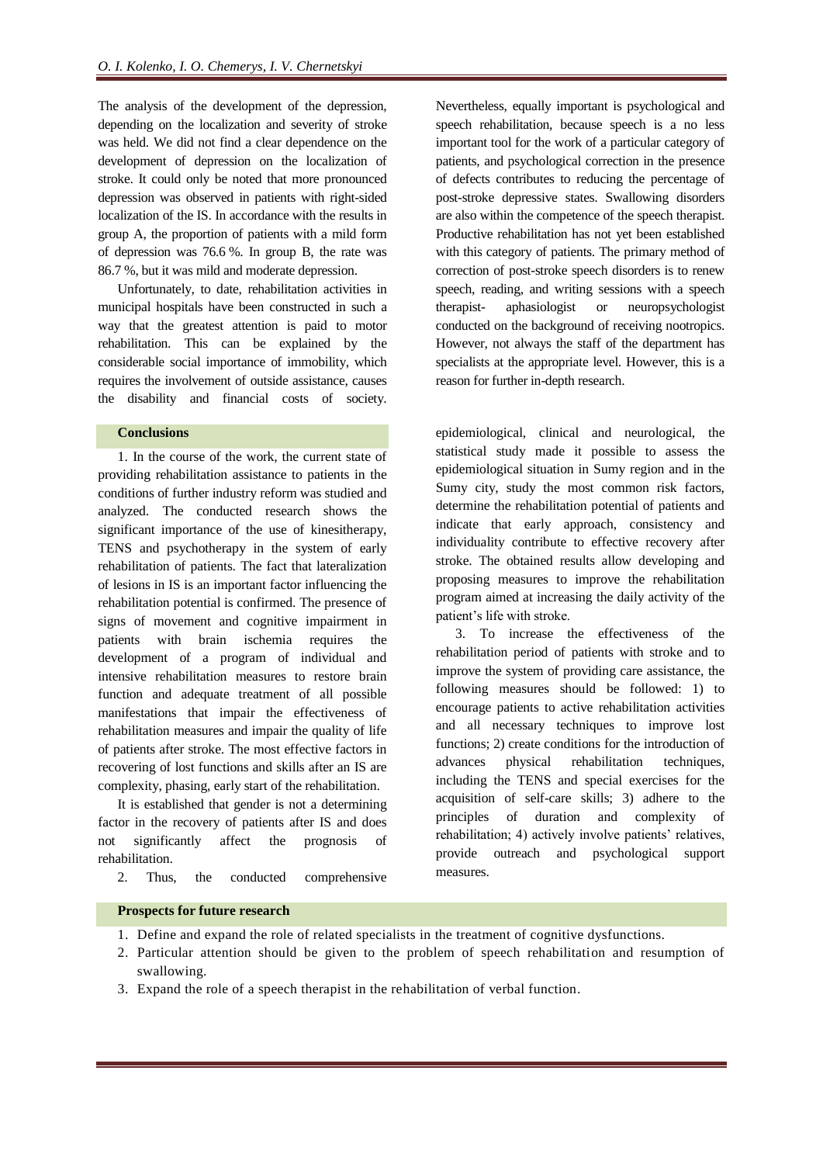The analysis of the development of the depression, depending on the localization and severity of stroke was held. We did not find a clear dependence on the development of depression on the localization of stroke. It could only be noted that more pronounced depression was observed in patients with right-sided localization of the IS. In accordance with the results in group A, the proportion of patients with a mild form of depression was 76.6 %. In group B, the rate was 86.7 %, but it was mild and moderate depression.

Unfortunately, to date, rehabilitation activities in municipal hospitals have been constructed in such a way that the greatest attention is paid to motor rehabilitation. This can be explained by the considerable social importance of immobility, which requires the involvement of outside assistance, causes the disability and financial costs of society.

#### **Conclusions**

1. In the course of the work, the current state of providing rehabilitation assistance to patients in the conditions of further industry reform was studied and analyzed. The conducted research shows the significant importance of the use of kinesitherapy, TENS and psychotherapy in the system of early rehabilitation of patients. The fact that lateralization of lesions in IS is an important factor influencing the rehabilitation potential is confirmed. The presence of signs of movement and cognitive impairment in patients with brain ischemia requires the development of a program of individual and intensive rehabilitation measures to restore brain function and adequate treatment of all possible manifestations that impair the effectiveness of rehabilitation measures and impair the quality of life of patients after stroke. The most effective factors in recovering of lost functions and skills after an IS are complexity, phasing, early start of the rehabilitation.

It is established that gender is not a determining factor in the recovery of patients after IS and does not significantly affect the prognosis of rehabilitation.

2. Thus, the conducted comprehensive

Nevertheless, equally important is psychological and speech rehabilitation, because speech is a no less important tool for the work of a particular category of patients, and psychological correction in the presence of defects contributes to reducing the percentage of post-stroke depressive states. Swallowing disorders are also within the competence of the speech therapist. Productive rehabilitation has not yet been established with this category of patients. The primary method of correction of post-stroke speech disorders is to renew speech, reading, and writing sessions with a speech therapist- aphasiologist or neuropsychologist conducted on the background of receiving nootropics. However, not always the staff of the department has specialists at the appropriate level. However, this is a reason for further in-depth research.

epidemiological, clinical and neurological, the statistical study made it possible to assess the epidemiological situation in Sumy region and in the Sumy city, study the most common risk factors, determine the rehabilitation potential of patients and indicate that early approach, consistency and individuality contribute to effective recovery after stroke. The obtained results allow developing and proposing measures to improve the rehabilitation program aimed at increasing the daily activity of the patient's life with stroke.

3. To increase the effectiveness of the rehabilitation period of patients with stroke and to improve the system of providing care assistance, the following measures should be followed: 1) to encourage patients to active rehabilitation activities and all necessary techniques to improve lost functions; 2) create conditions for the introduction of advances physical rehabilitation techniques, including the TENS and special exercises for the acquisition of self-care skills; 3) adhere to the principles of duration and complexity of rehabilitation; 4) actively involve patients' relatives, provide outreach and psychological support measures.

#### **Prospects for future research**

- 1. Define and expand the role of related specialists in the treatment of cognitive dysfunctions.
- 2. Particular attention should be given to the problem of speech rehabilitation and resumption of swallowing.
- 3. Expand the role of a speech therapist in the rehabilitation of verbal function.